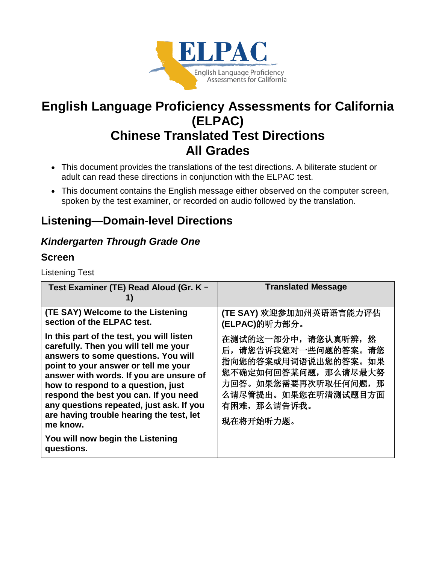

# **English Language Proficiency Assessments for California (ELPAC) Chinese Translated Test Directions All Grades**

- This document provides the translations of the test directions. A biliterate student or adult can read these directions in conjunction with the ELPAC test.
- This document contains the English message either observed on the computer screen, spoken by the test examiner, or recorded on audio followed by the translation.

# **Listening—Domain-level Directions**

## *Kindergarten Through Grade One*

## **Screen**

Listening Test

| Test Examiner (TE) Read Aloud (Gr. K -                                                                                                                                                                                                                                                                                                                                                          | <b>Translated Message</b>                                                                                                                                                        |
|-------------------------------------------------------------------------------------------------------------------------------------------------------------------------------------------------------------------------------------------------------------------------------------------------------------------------------------------------------------------------------------------------|----------------------------------------------------------------------------------------------------------------------------------------------------------------------------------|
| (TE SAY) Welcome to the Listening<br>section of the ELPAC test.                                                                                                                                                                                                                                                                                                                                 | (TE SAY) 欢迎参加加州英语语言能力评估<br>(ELPAC)的听力部分。                                                                                                                                         |
| In this part of the test, you will listen<br>carefully. Then you will tell me your<br>answers to some questions. You will<br>point to your answer or tell me your<br>answer with words. If you are unsure of<br>how to respond to a question, just<br>respond the best you can. If you need<br>any questions repeated, just ask. If you<br>are having trouble hearing the test, let<br>me know. | 在测试的这一部分中, 请您认真听辨,<br>然<br>后,请您告诉我您对一些问题的答案。<br>请您<br>指向您的答案或用词语说出您的答案。<br>如果<br>您不确定如何回答某问题,那么请尽最大努<br>力回答。如果您需要再次听取任何问题, 那<br>么请尽管提出。如果您在听清测试题目方面<br>有困难, 那么请告诉我。<br>现在将开始听力题。 |
| You will now begin the Listening<br>questions.                                                                                                                                                                                                                                                                                                                                                  |                                                                                                                                                                                  |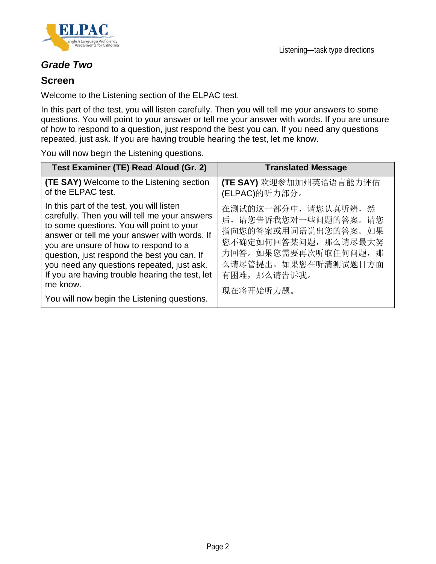

## *Grade Two*

### **Screen**

Welcome to the Listening section of the ELPAC test.

In this part of the test, you will listen carefully. Then you will tell me your answers to some questions. You will point to your answer or tell me your answer with words. If you are unsure of how to respond to a question, just respond the best you can. If you need any questions repeated, just ask. If you are having trouble hearing the test, let me know.

You will now begin the Listening questions.

| Test Examiner (TE) Read Aloud (Gr. 2)                                                                                                                                                                                                                                                                                                                                                                                                       | <b>Translated Message</b>                                                                                                                                                           |
|---------------------------------------------------------------------------------------------------------------------------------------------------------------------------------------------------------------------------------------------------------------------------------------------------------------------------------------------------------------------------------------------------------------------------------------------|-------------------------------------------------------------------------------------------------------------------------------------------------------------------------------------|
| <b>(TE SAY)</b> Welcome to the Listening section<br>of the ELPAC test.                                                                                                                                                                                                                                                                                                                                                                      | (TE SAY) 欢迎参加加州英语语言能力评估<br>(ELPAC)的听力部分。                                                                                                                                            |
| In this part of the test, you will listen<br>carefully. Then you will tell me your answers<br>to some questions. You will point to your<br>answer or tell me your answer with words. If<br>you are unsure of how to respond to a<br>question, just respond the best you can. If<br>you need any questions repeated, just ask.<br>If you are having trouble hearing the test, let<br>me know.<br>You will now begin the Listening questions. | 在测试的这一部分中,请您认真听辨,<br>然<br>后,请您告诉我您对一些问题的答案。<br>请您<br>指向您的答案或用词语说出您的答案。<br>如果<br>您不确定如何回答某问题, 那么请尽最大努<br>力回答。如果您需要再次听取任何问题,<br>那<br>么请尽管提出。如果您在听清测试题目方面<br>有困难, 那么请告诉我。<br>现在将开始听力题。 |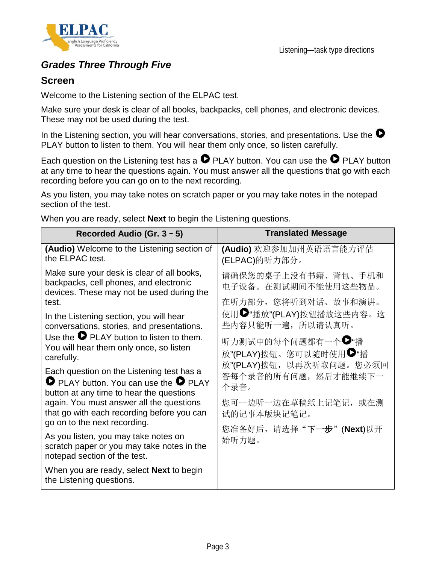

## *Grades Three Through Five*

## **Screen**

Welcome to the Listening section of the ELPAC test.

Make sure your desk is clear of all books, backpacks, cell phones, and electronic devices. These may not be used during the test.

In the Listening section, you will hear conversations, stories, and presentations. Use the  $\bullet$ PLAY button to listen to them. You will hear them only once, so listen carefully.

Each question on the Listening test has a  $\bullet$  PLAY button. You can use the  $\bullet$  PLAY button at any time to hear the questions again. You must answer all the questions that go with each recording before you can go on to the next recording.

As you listen, you may take notes on scratch paper or you may take notes in the notepad section of the test.

When you are ready, select **Next** to begin the Listening questions.

| Recorded Audio (Gr. 3 - 5)                                                                                                                   | <b>Translated Message</b>                                          |
|----------------------------------------------------------------------------------------------------------------------------------------------|--------------------------------------------------------------------|
| (Audio) Welcome to the Listening section of<br>the ELPAC test.                                                                               | (Audio) 欢迎参加加州英语语言能力评估<br>(ELPAC)的听力部分。                            |
| Make sure your desk is clear of all books,<br>backpacks, cell phones, and electronic<br>devices. These may not be used during the<br>test.   | 请确保您的桌子上没有书籍、背包、手机和<br>电子设备。在测试期间不能使用这些物品。<br>在听力部分, 您将听到对话、故事和演讲。 |
| In the Listening section, you will hear<br>conversations, stories, and presentations.                                                        | 使用●"播放"(PLAY)按钮播放这些内容。这<br>些内容只能听一遍, 所以请认真听。                       |
| Use the $\bullet$ PLAY button to listen to them.<br>You will hear them only once, so listen<br>carefully.                                    | 听力测试中的每个问题都有一个●"播<br>放"(PLAY)按钮。您可以随时使用●"播                         |
| Each question on the Listening test has a<br><b>O</b> PLAY button. You can use the <b>O</b> PLAY<br>button at any time to hear the questions | 放"(PLAY)按钮, 以再次听取问题。您必须回<br>答每个录音的所有问题, 然后才能继续下一<br>个录音。           |
| again. You must answer all the questions<br>that go with each recording before you can<br>go on to the next recording.                       | 您可一边听一边在草稿纸上记笔记, 或在测<br>试的记事本版块记笔记。                                |
| As you listen, you may take notes on<br>scratch paper or you may take notes in the<br>notepad section of the test.                           | 您准备好后, 请选择"下一步"(Next)以开<br>始听力题。                                   |
| When you are ready, select <b>Next</b> to begin<br>the Listening questions.                                                                  |                                                                    |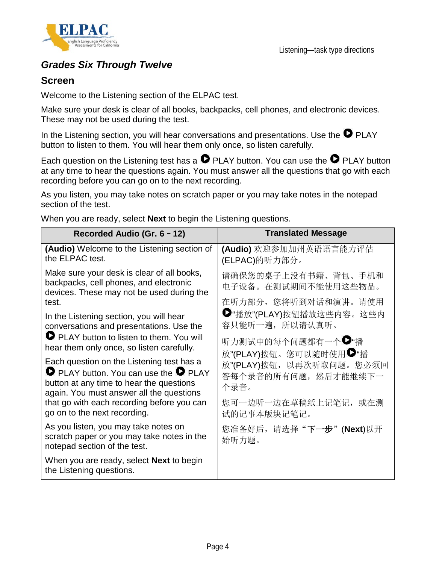

## *Grades Six Through Twelve*

## **Screen**

Welcome to the Listening section of the ELPAC test.

Make sure your desk is clear of all books, backpacks, cell phones, and electronic devices. These may not be used during the test.

In the Listening section, you will hear conversations and presentations. Use the  $\bullet$  PLAY button to listen to them. You will hear them only once, so listen carefully.

Each question on the Listening test has a  $\bullet$  PLAY button. You can use the  $\bullet$  PLAY button at any time to hear the questions again. You must answer all the questions that go with each recording before you can go on to the next recording.

As you listen, you may take notes on scratch paper or you may take notes in the notepad section of the test.

| Recorded Audio (Gr. 6 - 12)                                                                                                                                                                | <b>Translated Message</b>                                         |
|--------------------------------------------------------------------------------------------------------------------------------------------------------------------------------------------|-------------------------------------------------------------------|
| (Audio) Welcome to the Listening section of<br>the ELPAC test.                                                                                                                             | (Audio) 欢迎参加加州英语语言能力评估<br>(ELPAC)的听力部分。                           |
| Make sure your desk is clear of all books,<br>backpacks, cell phones, and electronic<br>devices. These may not be used during the<br>test.                                                 | 请确保您的桌子上没有书籍、背包、手机和<br>电子设备。在测试期间不能使用这些物品。<br>在听力部分,您将听到对话和演讲。请使用 |
| In the Listening section, you will hear<br>conversations and presentations. Use the                                                                                                        | ●"播放"(PLAY)按钮播放这些内容。这些内<br>容只能听一遍, 所以请认真听。                        |
| PLAY button to listen to them. You will<br>hear them only once, so listen carefully.                                                                                                       | 听力测试中的每个问题都有一个●"播<br>放"(PLAY)按钮。您可以随时使用●"播                        |
| Each question on the Listening test has a<br>$\bullet$ PLAY button. You can use the $\bullet$ PLAY<br>button at any time to hear the questions<br>again. You must answer all the questions | 放"(PLAY)按钮, 以再次听取问题。您必须回<br>答每个录音的所有问题, 然后才能继续下一<br>个录音。          |
| that go with each recording before you can<br>go on to the next recording.                                                                                                                 | 您可一边听一边在草稿纸上记笔记, 或在测<br>试的记事本版块记笔记。                               |
| As you listen, you may take notes on<br>scratch paper or you may take notes in the<br>notepad section of the test.                                                                         | 您准备好后, 请选择"下一步"(Next)以开<br>始听力题。                                  |
| When you are ready, select <b>Next</b> to begin<br>the Listening questions.                                                                                                                |                                                                   |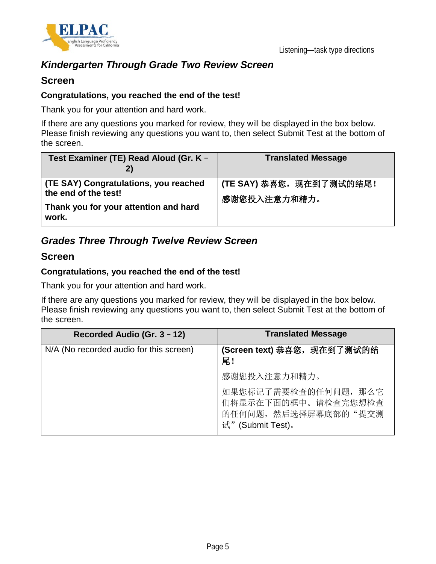

## *Kindergarten Through Grade Two Review Screen*

### **Screen**

#### **Congratulations, you reached the end of the test!**

Thank you for your attention and hard work.

If there are any questions you marked for review, they will be displayed in the box below. Please finish reviewing any questions you want to, then select Submit Test at the bottom of the screen.

| Test Examiner (TE) Read Aloud (Gr. K -<br>2)                                                                    | <b>Translated Message</b>                |
|-----------------------------------------------------------------------------------------------------------------|------------------------------------------|
| (TE SAY) Congratulations, you reached<br>the end of the test!<br>Thank you for your attention and hard<br>work. | (TE SAY) 恭喜您, 现在到了测试的结尾!<br>感谢您投入注意力和精力。 |

## *Grades Three Through Twelve Review Screen*

### **Screen**

#### **Congratulations, you reached the end of the test!**

Thank you for your attention and hard work.

If there are any questions you marked for review, they will be displayed in the box below. Please finish reviewing any questions you want to, then select Submit Test at the bottom of the screen.

| Recorded Audio (Gr. 3 - 12)             | <b>Translated Message</b>                                                                |
|-----------------------------------------|------------------------------------------------------------------------------------------|
| N/A (No recorded audio for this screen) | (Screen text) 恭喜您, 现在到了测试的结<br>尾!                                                        |
|                                         | 感谢您投入注意力和精力。                                                                             |
|                                         | 如果您标记了需要检查的任何问题, 那么它<br>们将显示在下面的框中。请检查完您想检查<br>的任何问题, 然后选择屏幕底部的"提交测<br>试" (Submit Test)。 |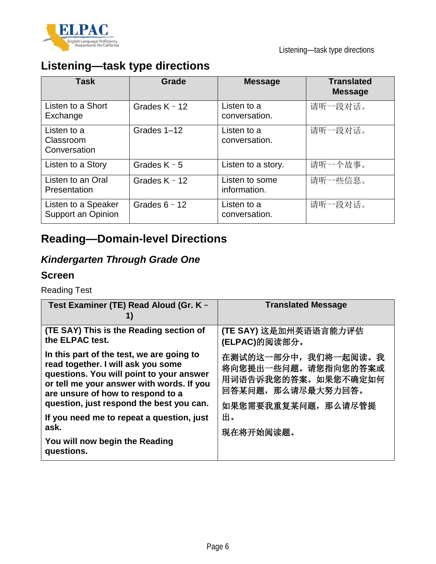

# **Listening—task type directions**

| Task                                      | Grade           | <b>Message</b>                 | <b>Translated</b><br><b>Message</b> |
|-------------------------------------------|-----------------|--------------------------------|-------------------------------------|
| Listen to a Short<br>Exchange             | Grades $K - 12$ | Listen to a<br>conversation.   | 请听一段对话。                             |
| Listen to a<br>Classroom<br>Conversation  | Grades 1-12     | Listen to a<br>conversation.   | 请听一段对话。                             |
| Listen to a Story                         | Grades $K - 5$  | Listen to a story.             | 请听一个故事。                             |
| Listen to an Oral<br>Presentation         | Grades $K - 12$ | Listen to some<br>information. | 请听一些信息。                             |
| Listen to a Speaker<br>Support an Opinion | Grades $6 - 12$ | Listen to a<br>conversation.   | 请听一段对话。                             |

# **Reading—Domain-level Directions**

# *Kindergarten Through Grade One*

## **Screen**

Reading Test

| Test Examiner (TE) Read Aloud (Gr. K -                                                                                                                                                                                                                    | <b>Translated Message</b>                                                                                      |
|-----------------------------------------------------------------------------------------------------------------------------------------------------------------------------------------------------------------------------------------------------------|----------------------------------------------------------------------------------------------------------------|
| (TE SAY) This is the Reading section of<br>the ELPAC test.                                                                                                                                                                                                | (TE SAY) 这是加州英语语言能力评估<br>(ELPAC)的阅读部分。                                                                         |
| In this part of the test, we are going to<br>read together. I will ask you some<br>questions. You will point to your answer<br>or tell me your answer with words. If you<br>are unsure of how to respond to a<br>question, just respond the best you can. | 在测试的这一部分中, 我们将一起阅读。我<br>将向您提出一些问题。请您指向您的答案或<br>用词语告诉我您的答案。如果您不确定如何<br>回答某问题, 那么请尽最大努力回答。<br>如果您需要我重复某问题,那么请尽管提 |
| If you need me to repeat a question, just<br>ask.                                                                                                                                                                                                         | 出。<br>现在将开始阅读题。                                                                                                |
| You will now begin the Reading<br>questions.                                                                                                                                                                                                              |                                                                                                                |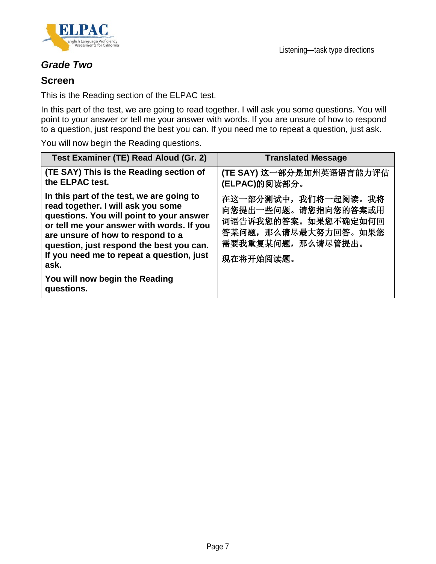

## *Grade Two*

### **Screen**

This is the Reading section of the ELPAC test.

In this part of the test, we are going to read together. I will ask you some questions. You will point to your answer or tell me your answer with words. If you are unsure of how to respond to a question, just respond the best you can. If you need me to repeat a question, just ask.

You will now begin the Reading questions.

| Test Examiner (TE) Read Aloud (Gr. 2)                                                                                                                                                                                                                                                                          | <b>Translated Message</b>                                                                                                    |
|----------------------------------------------------------------------------------------------------------------------------------------------------------------------------------------------------------------------------------------------------------------------------------------------------------------|------------------------------------------------------------------------------------------------------------------------------|
| (TE SAY) This is the Reading section of<br>the ELPAC test.                                                                                                                                                                                                                                                     | (TE SAY) 这一部分是加州英语语言能力评估<br>(ELPAC)的阅读部分。                                                                                    |
| In this part of the test, we are going to<br>read together. I will ask you some<br>questions. You will point to your answer<br>or tell me your answer with words. If you<br>are unsure of how to respond to a<br>question, just respond the best you can.<br>If you need me to repeat a question, just<br>ask. | 在这一部分测试中, 我们将一起阅读。我将<br>向您提出一些问题。请您指向您的答案或用<br>词语告诉我您的答案。如果您不确定如何回<br>答某问题, 那么请尽最大努力回答。如果您<br>需要我重复某问题,那么请尽管提出。<br>现在将开始阅读题。 |
| You will now begin the Reading<br>questions.                                                                                                                                                                                                                                                                   |                                                                                                                              |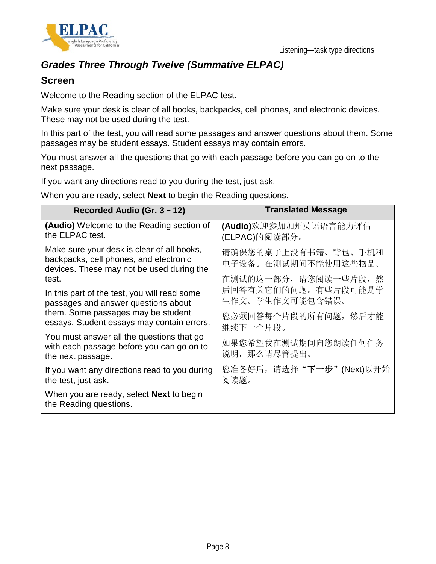



## *Grades Three Through Twelve (Summative ELPAC)*

## **Screen**

Welcome to the Reading section of the ELPAC test.

Make sure your desk is clear of all books, backpacks, cell phones, and electronic devices. These may not be used during the test.

In this part of the test, you will read some passages and answer questions about them. Some passages may be student essays. Student essays may contain errors.

You must answer all the questions that go with each passage before you can go on to the next passage.

If you want any directions read to you during the test, just ask.

When you are ready, select **Next** to begin the Reading questions.

| Recorded Audio (Gr. 3 - 12)                                                                                                       | <b>Translated Message</b>                  |
|-----------------------------------------------------------------------------------------------------------------------------------|--------------------------------------------|
| (Audio) Welcome to the Reading section of<br>the ELPAC test.                                                                      | (Audio)欢迎参加加州英语语言能力评估<br>(ELPAC)的阅读部分。     |
| Make sure your desk is clear of all books,<br>backpacks, cell phones, and electronic<br>devices. These may not be used during the | 请确保您的桌子上没有书籍、背包、手机和<br>电子设备。在测试期间不能使用这些物品。 |
| test.                                                                                                                             | 在测试的这一部分,请您阅读一些片段,然<br>后回答有关它们的问题。有些片段可能是学 |
| In this part of the test, you will read some<br>passages and answer questions about                                               | 生作文。学生作文可能包含错误。                            |
| them. Some passages may be student<br>essays. Student essays may contain errors.                                                  | 您必须回答每个片段的所有问题, 然后才能<br>继续下一个片段。           |
| You must answer all the questions that go<br>with each passage before you can go on to<br>the next passage.                       | 如果您希望我在测试期间向您朗读任何任务<br>说明, 那么请尽管提出。        |
| If you want any directions read to you during<br>the test, just ask.                                                              | 您准备好后, 请选择"下一步"(Next)以开始<br>阅读题。           |
| When you are ready, select <b>Next</b> to begin<br>the Reading questions.                                                         |                                            |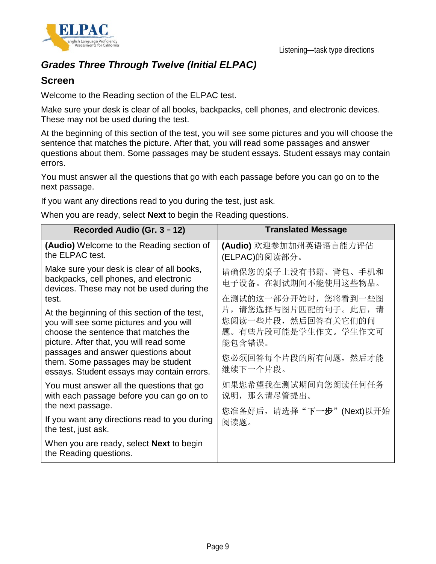



## *Grades Three Through Twelve (Initial ELPAC)*

## **Screen**

Welcome to the Reading section of the ELPAC test.

Make sure your desk is clear of all books, backpacks, cell phones, and electronic devices. These may not be used during the test.

At the beginning of this section of the test, you will see some pictures and you will choose the sentence that matches the picture. After that, you will read some passages and answer questions about them. Some passages may be student essays. Student essays may contain errors.

You must answer all the questions that go with each passage before you can go on to the next passage.

If you want any directions read to you during the test, just ask.

When you are ready, select **Next** to begin the Reading questions.

| Recorded Audio (Gr. 3 - 12)                                                                                                                                                                                                                                                                                     | <b>Translated Message</b>                                                                                                                 |
|-----------------------------------------------------------------------------------------------------------------------------------------------------------------------------------------------------------------------------------------------------------------------------------------------------------------|-------------------------------------------------------------------------------------------------------------------------------------------|
| <b>(Audio)</b> Welcome to the Reading section of<br>the ELPAC test.                                                                                                                                                                                                                                             | (Audio) 欢迎参加加州英语语言能力评估<br>(ELPAC)的阅读部分。                                                                                                   |
| Make sure your desk is clear of all books,<br>backpacks, cell phones, and electronic<br>devices. These may not be used during the                                                                                                                                                                               | 请确保您的桌子上没有书籍、背包、手机和<br>电子设备。在测试期间不能使用这些物品。                                                                                                |
| test.<br>At the beginning of this section of the test,<br>you will see some pictures and you will<br>choose the sentence that matches the<br>picture. After that, you will read some<br>passages and answer questions about<br>them. Some passages may be student<br>essays. Student essays may contain errors. | 在测试的这一部分开始时, 您将看到一些图<br>片, 请您选择与图片匹配的句子。此后, 请<br>您阅读一些片段, 然后回答有关它们的问<br>题。有些片段可能是学生作文。学生作文可<br>能包含错误。<br>您必须回答每个片段的所有问题, 然后才能<br>继续下一个片段。 |
| You must answer all the questions that go<br>with each passage before you can go on to<br>the next passage.                                                                                                                                                                                                     | 如果您希望我在测试期间向您朗读任何任务<br>说明, 那么请尽管提出。                                                                                                       |
| If you want any directions read to you during<br>the test, just ask.                                                                                                                                                                                                                                            | 您准备好后, 请选择"下一步"(Next)以开始<br>阅读题。                                                                                                          |
| When you are ready, select <b>Next</b> to begin<br>the Reading questions.                                                                                                                                                                                                                                       |                                                                                                                                           |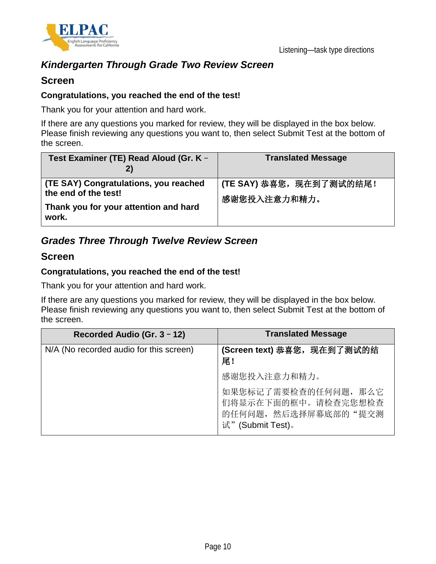

## *Kindergarten Through Grade Two Review Screen*

### **Screen**

#### **Congratulations, you reached the end of the test!**

Thank you for your attention and hard work.

If there are any questions you marked for review, they will be displayed in the box below. Please finish reviewing any questions you want to, then select Submit Test at the bottom of the screen.

| Test Examiner (TE) Read Aloud (Gr. K -                                                                          | <b>Translated Message</b>                |
|-----------------------------------------------------------------------------------------------------------------|------------------------------------------|
| (TE SAY) Congratulations, you reached<br>the end of the test!<br>Thank you for your attention and hard<br>work. | (TE SAY) 恭喜您, 现在到了测试的结尾!<br>感谢您投入注意力和精力。 |

## *Grades Three Through Twelve Review Screen*

### **Screen**

#### **Congratulations, you reached the end of the test!**

Thank you for your attention and hard work.

If there are any questions you marked for review, they will be displayed in the box below. Please finish reviewing any questions you want to, then select Submit Test at the bottom of the screen.

| Recorded Audio (Gr. 3 - 12)             | <b>Translated Message</b>                                                                |
|-----------------------------------------|------------------------------------------------------------------------------------------|
| N/A (No recorded audio for this screen) | (Screen text) 恭喜您, 现在到了测试的结<br>尾!                                                        |
|                                         | 感谢您投入注意力和精力。                                                                             |
|                                         | 如果您标记了需要检查的任何问题, 那么它<br>们将显示在下面的框中。请检查完您想检查<br>的任何问题, 然后选择屏幕底部的"提交测<br>试" (Submit Test)。 |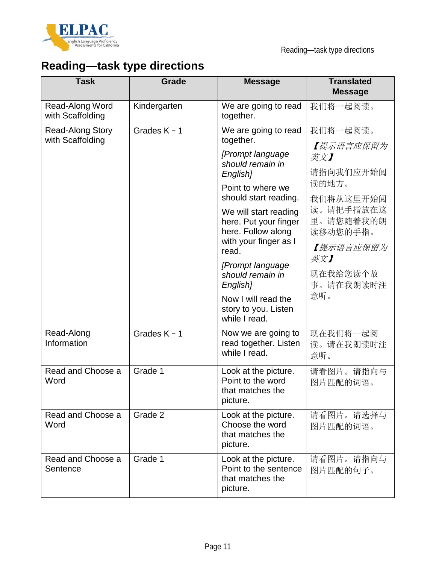

# **Reading—task type directions**

| <b>Task</b>                                 | <b>Grade</b>   | <b>Message</b>                                                                | <b>Translated</b><br><b>Message</b> |
|---------------------------------------------|----------------|-------------------------------------------------------------------------------|-------------------------------------|
| Read-Along Word<br>with Scaffolding         | Kindergarten   | We are going to read<br>together.                                             | 我们将一起阅读。                            |
| <b>Read-Along Story</b><br>with Scaffolding | Grades $K - 1$ | We are going to read<br>together.                                             | 我们将一起阅读。                            |
|                                             |                | [Prompt language                                                              | 【提示语言应保留为<br>英文】                    |
|                                             |                | should remain in<br>English]                                                  | 请指向我们应开始阅                           |
|                                             |                | Point to where we<br>should start reading.                                    | 读的地方。<br>我们将从这里开始阅                  |
|                                             |                | We will start reading<br>here. Put your finger<br>here. Follow along          | 读。请把手指放在这<br>里。请您随着我的朗<br>读移动您的手指。  |
|                                             |                | with your finger as I<br>read.                                                | 【提示语言应保留为<br>英文】                    |
|                                             |                | [Prompt language<br>should remain in<br>English]                              | 现在我给您读个故<br>事。请在我朗读时注               |
|                                             |                | Now I will read the<br>story to you. Listen<br>while I read.                  | 意听。                                 |
| Read-Along<br>Information                   | Grades $K - 1$ | Now we are going to<br>read together. Listen<br>while I read.                 | 现在我们将一起阅<br>读。请在我朗读时注<br>意听。        |
| Read and Choose a<br>Word                   | Grade 1        | Look at the picture.<br>Point to the word<br>that matches the<br>picture.     | 请看图片。请指向与<br>图片匹配的词语。               |
| Read and Choose a<br>Word                   | Grade 2        | Look at the picture.<br>Choose the word<br>that matches the<br>picture.       | 请看图片。请选择与<br>图片匹配的词语。               |
| Read and Choose a<br>Sentence               | Grade 1        | Look at the picture.<br>Point to the sentence<br>that matches the<br>picture. | 请看图片。请指向与<br>图片匹配的句子。               |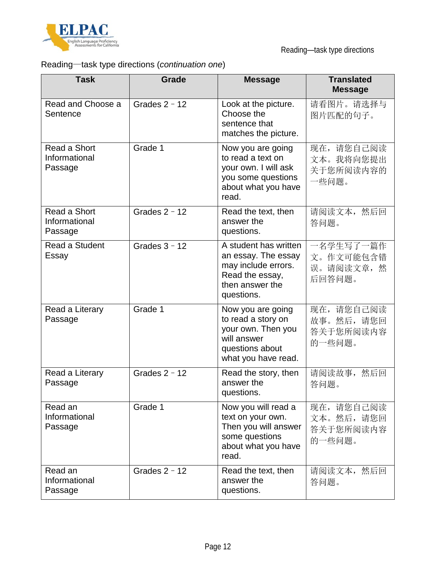

# Reading—task type directions (*continuation one*)

| <b>Task</b>                              | Grade           | <b>Message</b>                                                                                                          | <b>Translated</b><br><b>Message</b>            |
|------------------------------------------|-----------------|-------------------------------------------------------------------------------------------------------------------------|------------------------------------------------|
| Read and Choose a<br>Sentence            | Grades $2 - 12$ | Look at the picture.<br>Choose the<br>sentence that<br>matches the picture.                                             | 请看图片。请选择与<br>图片匹配的句子。                          |
| Read a Short<br>Informational<br>Passage | Grade 1         | Now you are going<br>to read a text on<br>your own. I will ask<br>you some questions<br>about what you have<br>read.    | 现在,请您自己阅读<br>文本。我将向您提出<br>关于您所阅读内容的<br>一些问题。   |
| Read a Short<br>Informational<br>Passage | Grades $2 - 12$ | Read the text, then<br>answer the<br>questions.                                                                         | 请阅读文本, 然后回<br>答问题。                             |
| Read a Student<br>Essay                  | Grades $3 - 12$ | A student has written<br>an essay. The essay<br>may include errors.<br>Read the essay,<br>then answer the<br>questions. | 一名学生写了一篇作<br>文。作文可能包含错<br>误。请阅读文章, 然<br>后回答问题。 |
| Read a Literary<br>Passage               | Grade 1         | Now you are going<br>to read a story on<br>your own. Then you<br>will answer<br>questions about<br>what you have read.  | 现在,请您自己阅读<br>故事。然后,请您回<br>答关于您所阅读内容<br>的一些问题。  |
| Read a Literary<br>Passage               | Grades $2 - 12$ | Read the story, then<br>answer the<br>questions.                                                                        | 请阅读故事,<br>然后回<br>答问题。                          |
| Read an<br>Informational<br>Passage      | Grade 1         | Now you will read a<br>text on your own.<br>Then you will answer<br>some questions<br>about what you have<br>read.      | 现在,请您自己阅读<br>文本。然后,请您回<br>答关于您所阅读内容<br>的一些问题。  |
| Read an<br>Informational<br>Passage      | Grades $2 - 12$ | Read the text, then<br>answer the<br>questions.                                                                         | 请阅读文本, 然后回<br>答问题。                             |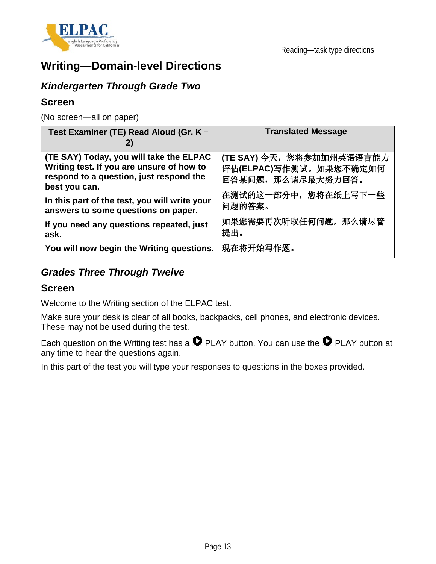

# **Writing—Domain-level Directions**

## *Kindergarten Through Grade Two*

## **Screen**

(No screen—all on paper)

| Test Examiner (TE) Read Aloud (Gr. K -                                                                                                           | <b>Translated Message</b>                                                 |
|--------------------------------------------------------------------------------------------------------------------------------------------------|---------------------------------------------------------------------------|
| (TE SAY) Today, you will take the ELPAC<br>Writing test. If you are unsure of how to<br>respond to a question, just respond the<br>best you can. | (TE SAY) 今天, 您将参加加州英语语言能力<br>评估(ELPAC)写作测试。如果您不确定如何<br>回答某问题, 那么请尽最大努力回答。 |
| In this part of the test, you will write your<br>answers to some questions on paper.                                                             | 在测试的这一部分中, 您将在纸上写下一些<br>问题的答案。                                            |
| If you need any questions repeated, just<br>ask.                                                                                                 | 如果您需要再次听取任何问题, 那么请尽管<br>提出。                                               |
| You will now begin the Writing questions.                                                                                                        | 现在将开始写作题。                                                                 |

## *Grades Three Through Twelve*

### **Screen**

Welcome to the Writing section of the ELPAC test.

Make sure your desk is clear of all books, backpacks, cell phones, and electronic devices. These may not be used during the test.

Each question on the Writing test has a  $\bullet$  PLAY button. You can use the  $\bullet$  PLAY button at any time to hear the questions again.

In this part of the test you will type your responses to questions in the boxes provided.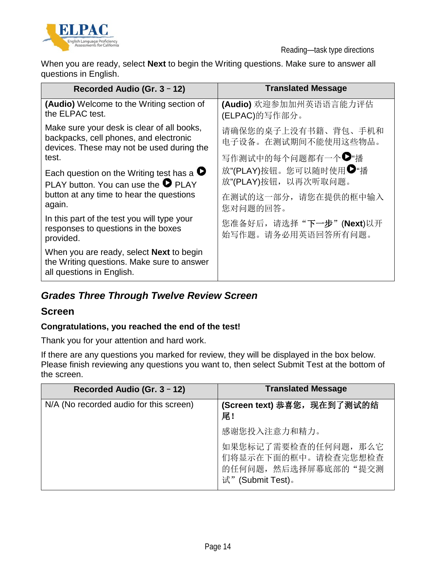

Reading—task type directions

When you are ready, select **Next** to begin the Writing questions. Make sure to answer all questions in English.

| Recorded Audio (Gr. 3 - 12)                                                                                                       | <b>Translated Message</b>                     |  |
|-----------------------------------------------------------------------------------------------------------------------------------|-----------------------------------------------|--|
| (Audio) Welcome to the Writing section of<br>the ELPAC test.                                                                      | (Audio) 欢迎参加加州英语语言能力评估<br>(ELPAC)的写作部分。       |  |
| Make sure your desk is clear of all books,<br>backpacks, cell phones, and electronic<br>devices. These may not be used during the | 请确保您的桌子上没有书籍、背包、手机和<br>电子设备。在测试期间不能使用这些物品。    |  |
| test.                                                                                                                             | 写作测试中的每个问题都有一个●"播                             |  |
| Each question on the Writing test has a $\bullet$<br>PLAY button. You can use the $\bullet$ PLAY                                  | 放"(PLAY)按钮。您可以随时使用●"播<br>放"(PLAY)按钮, 以再次听取问题。 |  |
| button at any time to hear the questions<br>again.                                                                                | 在测试的这一部分,请您在提供的框中输入<br>您对问题的回答。               |  |
| In this part of the test you will type your<br>responses to questions in the boxes<br>provided.                                   | 您准备好后, 请选择"下一步"(Next)以开<br>始写作题。请务必用英语回答所有问题。 |  |
| When you are ready, select <b>Next</b> to begin<br>the Writing questions. Make sure to answer<br>all questions in English.        |                                               |  |

# *Grades Three Through Twelve Review Screen*

### **Screen**

### **Congratulations, you reached the end of the test!**

Thank you for your attention and hard work.

If there are any questions you marked for review, they will be displayed in the box below. Please finish reviewing any questions you want to, then select Submit Test at the bottom of the screen.

| Recorded Audio (Gr. 3 - 12)             | <b>Translated Message</b>                                                                |
|-----------------------------------------|------------------------------------------------------------------------------------------|
| N/A (No recorded audio for this screen) | (Screen text) 恭喜您, 现在到了测试的结<br>尾!                                                        |
|                                         | 感谢您投入注意力和精力。                                                                             |
|                                         | 如果您标记了需要检查的任何问题, 那么它<br>们将显示在下面的框中。请检查完您想检查<br>的任何问题, 然后选择屏幕底部的"提交测<br>试" (Submit Test)。 |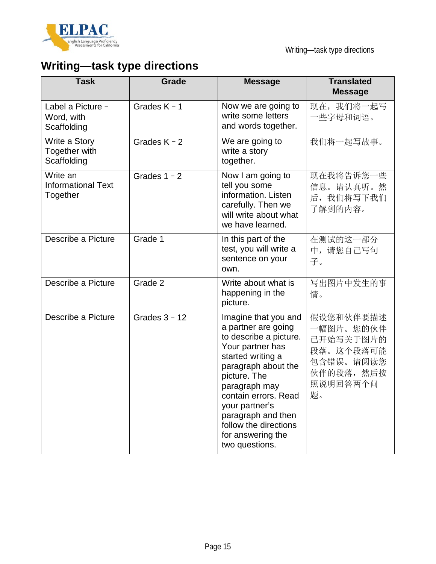

# **Writing—task type directions**

| <b>Task</b>                                       | <b>Grade</b>    | <b>Message</b>                                                                                                                                                                                                                                                                                         | <b>Translated</b><br><b>Message</b>                                                           |
|---------------------------------------------------|-----------------|--------------------------------------------------------------------------------------------------------------------------------------------------------------------------------------------------------------------------------------------------------------------------------------------------------|-----------------------------------------------------------------------------------------------|
| Label a Picture -<br>Word, with<br>Scaffolding    | Grades $K - 1$  | Now we are going to<br>write some letters<br>and words together.                                                                                                                                                                                                                                       | 现在, 我们将一起写<br>一些字母和词语。                                                                        |
| Write a Story<br>Together with<br>Scaffolding     | Grades $K - 2$  | We are going to<br>write a story<br>together.                                                                                                                                                                                                                                                          | 我们将一起写故事。                                                                                     |
| Write an<br><b>Informational Text</b><br>Together | Grades $1 - 2$  | Now I am going to<br>tell you some<br>information. Listen<br>carefully. Then we<br>will write about what<br>we have learned.                                                                                                                                                                           | 现在我将告诉您一些<br>信息。请认真听。然<br>后, 我们将写下我们<br>了解到的内容。                                               |
| Describe a Picture                                | Grade 1         | In this part of the<br>test, you will write a<br>sentence on your<br>own.                                                                                                                                                                                                                              | 在测试的这一部分<br>中,请您自己写句<br>子。                                                                    |
| Describe a Picture                                | Grade 2         | Write about what is<br>happening in the<br>picture.                                                                                                                                                                                                                                                    | 写出图片中发生的事<br>情。                                                                               |
| Describe a Picture                                | Grades $3 - 12$ | Imagine that you and<br>a partner are going<br>to describe a picture.<br>Your partner has<br>started writing a<br>paragraph about the<br>picture. The<br>paragraph may<br>contain errors. Read<br>your partner's<br>paragraph and then<br>follow the directions<br>for answering the<br>two questions. | 假设您和伙伴要描述<br>一幅图片。您的伙伴<br>已开始写关于图片的<br>段落。这个段落可能<br>包含错误。请阅读您<br>伙伴的段落, 然后按<br>照说明回答两个问<br>题。 |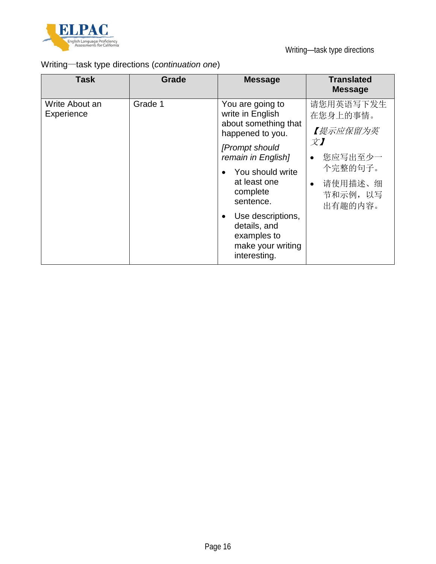

# Writing—task type directions (*continuation one*)

| <b>Task</b>                  | Grade   | <b>Message</b>                                                                                                                                                                                                                                                                      | <b>Translated</b><br><b>Message</b>                                                                                             |
|------------------------------|---------|-------------------------------------------------------------------------------------------------------------------------------------------------------------------------------------------------------------------------------------------------------------------------------------|---------------------------------------------------------------------------------------------------------------------------------|
| Write About an<br>Experience | Grade 1 | You are going to<br>write in English<br>about something that<br>happened to you.<br>[Prompt should<br>remain in English]<br>You should write<br>at least one<br>complete<br>sentence.<br>Use descriptions,<br>٠<br>details, and<br>examples to<br>make your writing<br>interesting. | 请您用英语写下发生<br>在您身上的事情。<br>【提示应保留为英<br>$\chi$ )<br>您应写出至少一<br>$\bullet$<br>个完整的句子。<br>请使用描述、细<br>$\bullet$<br>节和示例, 以写<br>出有趣的内容。 |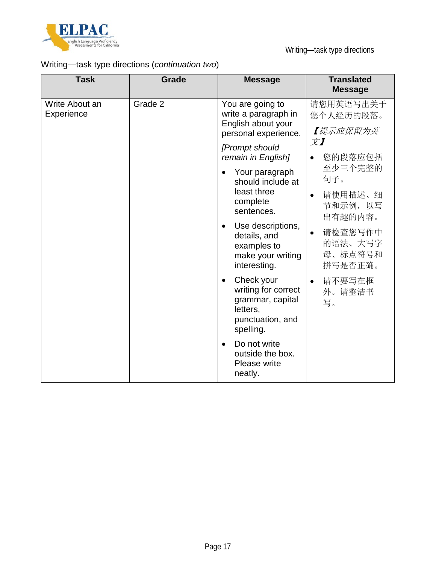

# Writing—task type directions (*continuation two*)

| <b>Task</b>                  | <b>Grade</b> | <b>Message</b>                                                                                                  | <b>Translated</b><br><b>Message</b>                   |
|------------------------------|--------------|-----------------------------------------------------------------------------------------------------------------|-------------------------------------------------------|
| Write About an<br>Experience | Grade 2      | You are going to<br>write a paragraph in<br>English about your<br>personal experience.                          | 请您用英语写出关于<br>您个人经历的段落。<br>【提示应保留为英                    |
|                              |              | [Prompt should<br>remain in English]                                                                            | 文】<br>您的段落应包括                                         |
|                              |              | Your paragraph<br>$\bullet$<br>should include at<br>least three<br>complete<br>sentences.                       | 至少三个完整的<br>句子。                                        |
|                              |              |                                                                                                                 | 请使用描述、细<br>$\bullet$<br>节和示例, 以写<br>出有趣的内容。           |
|                              |              | Use descriptions,<br>$\bullet$<br>details, and<br>examples to<br>make your writing<br>interesting.              | 请检查您写作中<br>$\bullet$<br>的语法、大写字<br>母、标点符号和<br>拼写是否正确。 |
|                              |              | Check your<br>$\bullet$<br>writing for correct<br>grammar, capital<br>letters,<br>punctuation, and<br>spelling. | 请不要写在框<br>$\bullet$<br>外。请整洁书<br>写。                   |
|                              |              | Do not write<br>$\bullet$<br>outside the box.<br>Please write<br>neatly.                                        |                                                       |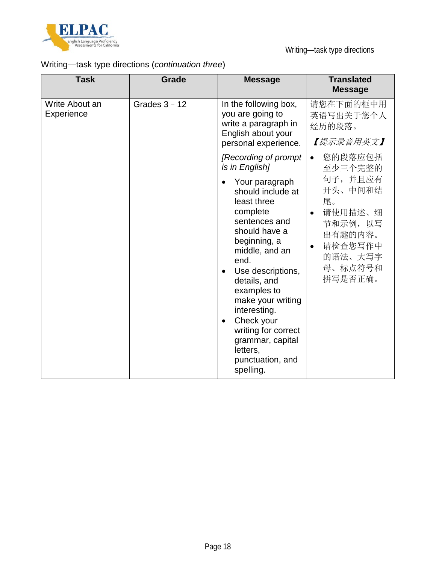

# Writing—task type directions (*continuation three*)

| <b>Task</b>                                     | Grade                                                                                                           | <b>Message</b>                                                                                                                                                                                                                                                                                                                                                      | <b>Translated</b><br><b>Message</b>                                                                                             |
|-------------------------------------------------|-----------------------------------------------------------------------------------------------------------------|---------------------------------------------------------------------------------------------------------------------------------------------------------------------------------------------------------------------------------------------------------------------------------------------------------------------------------------------------------------------|---------------------------------------------------------------------------------------------------------------------------------|
| Write About an<br>Grades $3 - 12$<br>Experience | In the following box,<br>you are going to<br>write a paragraph in<br>English about your<br>personal experience. | 请您在下面的框中用<br>英语写出关于您个人<br>经历的段落。<br>【提示录音用英文】                                                                                                                                                                                                                                                                                                                       |                                                                                                                                 |
|                                                 |                                                                                                                 | [Recording of prompt<br>is in English]                                                                                                                                                                                                                                                                                                                              | 您的段落应包括<br>$\bullet$<br>至少三个完整的                                                                                                 |
|                                                 |                                                                                                                 | Your paragraph<br>should include at<br>least three<br>complete<br>sentences and<br>should have a<br>beginning, a<br>middle, and an<br>end.<br>Use descriptions,<br>$\bullet$<br>details, and<br>examples to<br>make your writing<br>interesting.<br>Check your<br>$\bullet$<br>writing for correct<br>grammar, capital<br>letters,<br>punctuation, and<br>spelling. | 句子,并且应有<br>开头、中间和结<br>尾。<br>请使用描述、细<br>$\bullet$<br>节和示例,以写<br>出有趣的内容。<br>请检查您写作中<br>$\bullet$<br>的语法、大写字<br>母、标点符号和<br>拼写是否正确。 |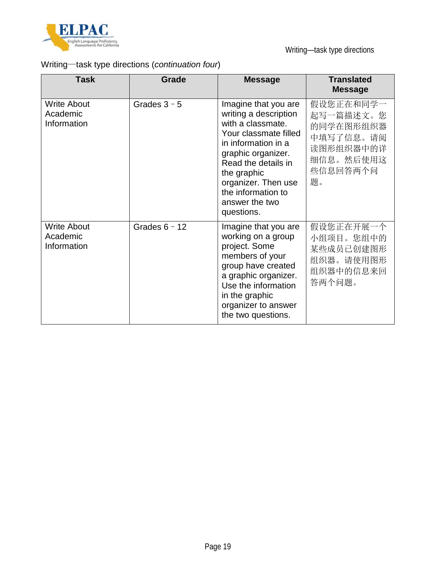

# Writing—task type directions (*continuation four*)

| <b>Task</b>                                   | <b>Grade</b>    | <b>Message</b>                                                                                                                                                                                                                                              | <b>Translated</b><br><b>Message</b>                                                          |
|-----------------------------------------------|-----------------|-------------------------------------------------------------------------------------------------------------------------------------------------------------------------------------------------------------------------------------------------------------|----------------------------------------------------------------------------------------------|
| <b>Write About</b><br>Academic<br>Information | Grades $3 - 5$  | Imagine that you are<br>writing a description<br>with a classmate.<br>Your classmate filled<br>in information in a<br>graphic organizer.<br>Read the details in<br>the graphic<br>organizer. Then use<br>the information to<br>answer the two<br>questions. | 假设您正在和同学一<br>起写一篇描述文。您<br>的同学在图形组织器<br>中填写了信息。请阅<br>读图形组织器中的详<br>细信息。然后使用这<br>些信息回答两个问<br>题。 |
| <b>Write About</b><br>Academic<br>Information | Grades $6 - 12$ | Imagine that you are<br>working on a group<br>project. Some<br>members of your<br>group have created<br>a graphic organizer.<br>Use the information<br>in the graphic<br>organizer to answer<br>the two questions.                                          | 假设您正在开展一个<br>小组项目。您组中的<br>某些成员已创建图形<br>组织器。请使用图形<br>组织器中的信息来回<br>答两个问题。                      |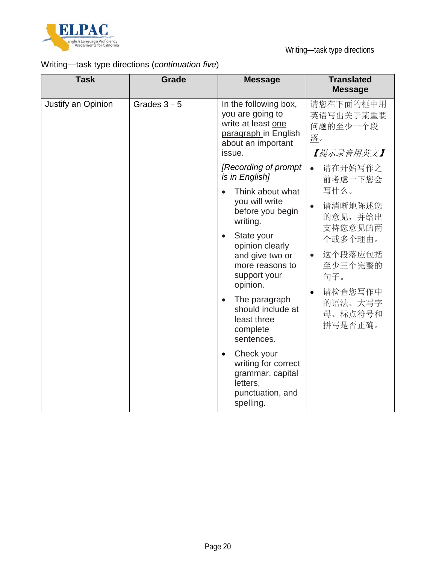

# Writing—task type directions (*continuation five*)

| <b>Task</b>        | <b>Grade</b>   | <b>Message</b>                                                                                                          | <b>Translated</b><br><b>Message</b>                   |
|--------------------|----------------|-------------------------------------------------------------------------------------------------------------------------|-------------------------------------------------------|
| Justify an Opinion | Grades $3 - 5$ | In the following box,<br>you are going to<br>write at least one<br>paragraph in English<br>about an important<br>issue. | 请您在下面的框中用<br>英语写出关于某重要<br>问题的至少一个段<br>落。<br>【提示录音用英文】 |
|                    |                | [Recording of prompt]<br>is in English]                                                                                 | 请在开始写作之<br>$\bullet$<br>前考虑一下您会                       |
|                    |                | Think about what<br>$\bullet$<br>you will write<br>before you begin<br>writing.                                         | 写什么。<br>请清晰地陈述您<br>$\bullet$<br>的意见,并给出               |
|                    |                | State your<br>$\bullet$<br>opinion clearly<br>and give two or<br>more reasons to<br>support your<br>opinion.            | 支持您意见的两<br>个或多个理由。<br>这个段落应包括<br>$\bullet$            |
|                    |                |                                                                                                                         | 至少三个完整的<br>句子。                                        |
|                    |                | The paragraph<br>$\bullet$<br>should include at<br>least three<br>complete<br>sentences.                                | 请检查您写作中<br>$\bullet$<br>的语法、大写字<br>母、标点符号和<br>拼写是否正确。 |
|                    |                | Check your<br>$\bullet$<br>writing for correct<br>grammar, capital<br>letters,<br>punctuation, and<br>spelling.         |                                                       |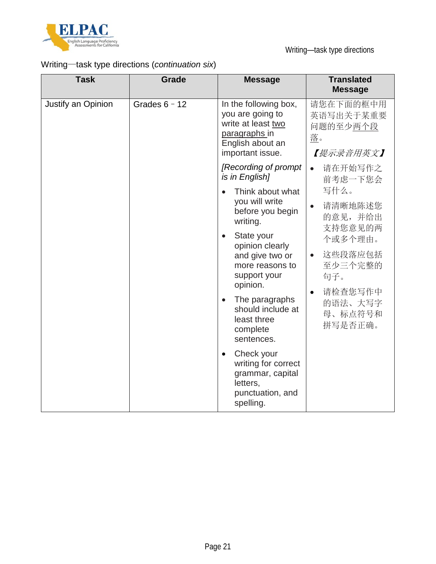

# Writing—task type directions (*continuation six*)

| <b>Task</b>        | <b>Grade</b>    | <b>Message</b>                                                                                                           | <b>Translated</b><br><b>Message</b>                   |
|--------------------|-----------------|--------------------------------------------------------------------------------------------------------------------------|-------------------------------------------------------|
| Justify an Opinion | Grades $6 - 12$ | In the following box,<br>you are going to<br>write at least two<br>paragraphs in<br>English about an<br>important issue. | 请您在下面的框中用<br>英语写出关于某重要<br>问题的至少两个段<br>落。<br>【提示录音用英文】 |
|                    |                 | [Recording of prompt]<br>is in English]                                                                                  | 请在开始写作之<br>$\bullet$<br>前考虑一下您会                       |
|                    |                 | Think about what<br>you will write<br>before you begin<br>writing.                                                       | 写什么。<br>请清晰地陈述您<br>$\bullet$<br>的意见,并给出<br>支持您意见的两    |
|                    |                 | State your<br>$\bullet$<br>opinion clearly<br>and give two or<br>more reasons to<br>support your<br>opinion.             | 个或多个理由。                                               |
|                    |                 |                                                                                                                          | 这些段落应包括<br>$\bullet$<br>至少三个完整的<br>句子。                |
|                    |                 | The paragraphs<br>$\bullet$<br>should include at<br>least three<br>complete<br>sentences.                                | 请检查您写作中<br>$\bullet$<br>的语法、大写字<br>母、标点符号和<br>拼写是否正确。 |
|                    |                 | Check your<br>$\bullet$<br>writing for correct<br>grammar, capital<br>letters,<br>punctuation, and<br>spelling.          |                                                       |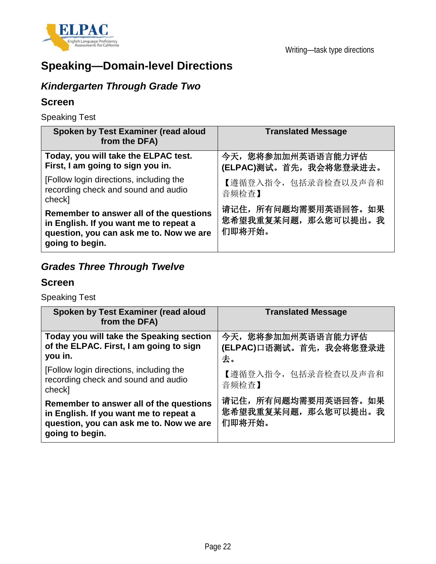

# **Speaking—Domain-level Directions**

# *Kindergarten Through Grade Two*

## **Screen**

Speaking Test

| Spoken by Test Examiner (read aloud<br>from the DFA)                                                                                            | <b>Translated Message</b>                              |
|-------------------------------------------------------------------------------------------------------------------------------------------------|--------------------------------------------------------|
| Today, you will take the ELPAC test.<br>First, I am going to sign you in.                                                                       | 今天, 您将参加加州英语语言能力评估<br>(ELPAC)测试。首先, 我会将您登录进去。          |
| [Follow login directions, including the<br>recording check and sound and audio<br>check]                                                        | 【遵循登入指令,包括录音检查以及声音和<br>音频检查】                           |
| Remember to answer all of the questions<br>in English. If you want me to repeat a<br>question, you can ask me to. Now we are<br>going to begin. | 请记住, 所有问题均需要用英语回答。如果<br>您希望我重复某问题, 那么您可以提出。我<br>们即将开始。 |

# *Grades Three Through Twelve*

## **Screen**

Speaking Test

| Spoken by Test Examiner (read aloud<br>from the DFA)                                                                                            | <b>Translated Message</b>                              |
|-------------------------------------------------------------------------------------------------------------------------------------------------|--------------------------------------------------------|
| Today you will take the Speaking section<br>of the ELPAC. First, I am going to sign<br>you in.                                                  | 今天, 您将参加加州英语语言能力评估<br>(ELPAC)口语测试。首先, 我会将您登录进<br>去。    |
| [Follow login directions, including the<br>recording check and sound and audio<br>check]                                                        | 【遵循登入指令,包括录音检查以及声音和<br>音频检查】                           |
| Remember to answer all of the questions<br>in English. If you want me to repeat a<br>question, you can ask me to. Now we are<br>going to begin. | 请记住, 所有问题均需要用英语回答。如果<br>您希望我重复某问题, 那么您可以提出。我<br>们即将开始。 |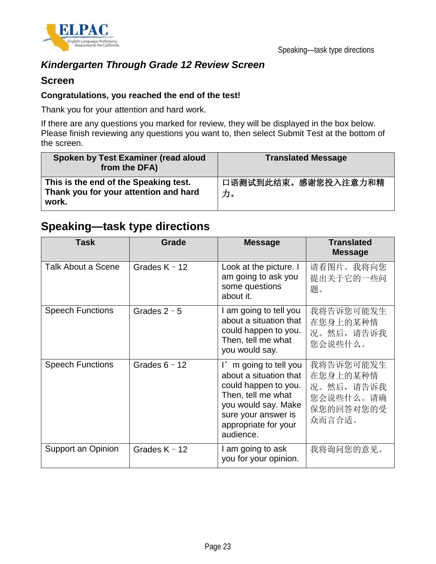

## *Kindergarten Through Grade 12 Review Screen*

### **Screen**

#### **Congratulations, you reached the end of the test!**

Thank you for your attention and hard work.

If there are any questions you marked for review, they will be displayed in the box below. Please finish reviewing any questions you want to, then select Submit Test at the bottom of the screen.

| Spoken by Test Examiner (read aloud<br>from the DFA)                                    | <b>Translated Message</b> |  |
|-----------------------------------------------------------------------------------------|---------------------------|--|
| This is the end of the Speaking test.<br>Thank you for your attention and hard<br>work. | 口语测试到此结束。感谢您投入注意力和精<br>力。 |  |

# **Speaking—task type directions**

| <b>Task</b>             | <b>Grade</b>    | <b>Message</b>                                                                                                                                                                   | <b>Translated</b><br><b>Message</b>                                    |
|-------------------------|-----------------|----------------------------------------------------------------------------------------------------------------------------------------------------------------------------------|------------------------------------------------------------------------|
| Talk About a Scene      | Grades $K - 12$ | Look at the picture. I<br>am going to ask you<br>some questions<br>about it.                                                                                                     | 请看图片。我将向您<br>提出关于它的一些问<br>题。                                           |
| <b>Speech Functions</b> | Grades $2 - 5$  | I am going to tell you<br>about a situation that<br>could happen to you.<br>Then, tell me what<br>you would say.                                                                 | 我将告诉您可能发生<br>在您身上的某种情<br>况。然后,请告诉我<br>您会说些什么。                          |
| <b>Speech Functions</b> | Grades $6 - 12$ | I'm going to tell you<br>about a situation that<br>could happen to you.<br>Then, tell me what<br>you would say. Make<br>sure your answer is<br>appropriate for your<br>audience. | 我将告诉您可能发生<br>在您身上的某种情<br>况。然后,请告诉我<br>您会说些什么。请确<br>保您的回答对您的受<br>众而言合适。 |
| Support an Opinion      | Grades $K - 12$ | I am going to ask<br>you for your opinion.                                                                                                                                       | 我将询问您的意见。                                                              |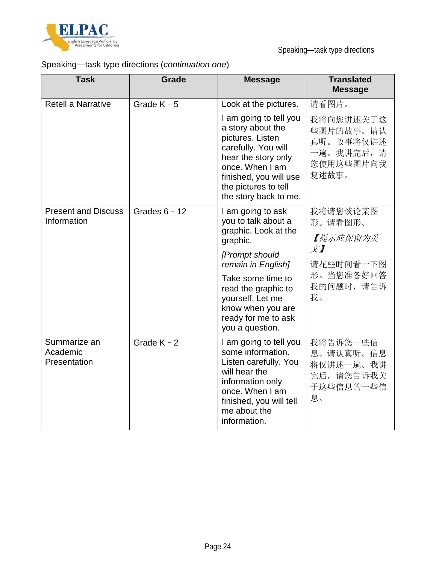

# Speaking—task type directions (*continuation one*)

| <b>Task</b>                               | Grade           | <b>Message</b>                                                                                                                                                                                                                                      | <b>Translated</b><br><b>Message</b>                                                |
|-------------------------------------------|-----------------|-----------------------------------------------------------------------------------------------------------------------------------------------------------------------------------------------------------------------------------------------------|------------------------------------------------------------------------------------|
| <b>Retell a Narrative</b>                 | Grade $K - 5$   | Look at the pictures.                                                                                                                                                                                                                               | 请看图片。                                                                              |
|                                           |                 | I am going to tell you<br>a story about the<br>pictures. Listen<br>carefully. You will<br>hear the story only<br>once. When I am<br>finished, you will use<br>the pictures to tell<br>the story back to me.                                         | 我将向您讲述关于这<br>些图片的故事。请认<br>真听。故事将仅讲述<br>一遍。我讲完后,请<br>您使用这些图片向我<br>复述故事。             |
| <b>Present and Discuss</b><br>Information | Grades $6 - 12$ | I am going to ask<br>you to talk about a<br>graphic. Look at the<br>graphic.<br>[Prompt should<br>remain in English]<br>Take some time to<br>read the graphic to<br>yourself. Let me<br>know when you are<br>ready for me to ask<br>you a question. | 我将请您谈论某图<br>形。请看图形。<br>【提示应保留为英<br>文】<br>请花些时间看一下图<br>形。当您准备好回答<br>我的问题时,请告诉<br>我。 |
| Summarize an<br>Academic<br>Presentation  | Grade $K - 2$   | I am going to tell you<br>some information.<br>Listen carefully. You<br>will hear the<br>information only<br>once. When I am<br>finished, you will tell<br>me about the<br>information.                                                             | 我将告诉您一些信<br>息。请认真听。信息<br>将仅讲述一遍。我讲<br>完后,请您告诉我关<br>于这些信息的一些信<br>息。                 |